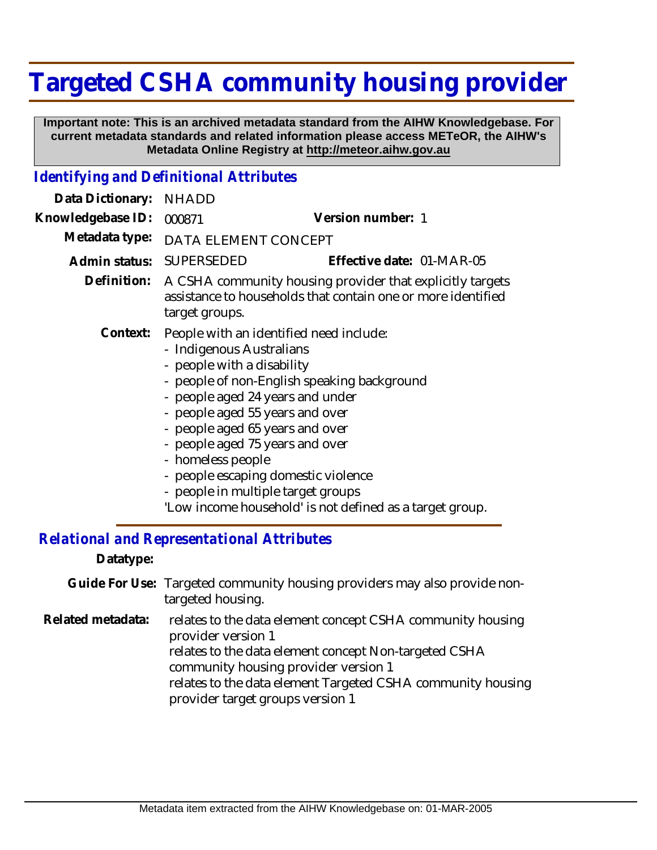# **Targeted CSHA community housing provider**

 **Important note: This is an archived metadata standard from the AIHW Knowledgebase. For current metadata standards and related information please access METeOR, the AIHW's Metadata Online Registry at http://meteor.aihw.gov.au**

### *Identifying and Definitional Attributes*

| Data Dictionary:  | <b>NHADD</b>                                                                                                                                                                                                                                                                                                                                                                                                                                                |                           |
|-------------------|-------------------------------------------------------------------------------------------------------------------------------------------------------------------------------------------------------------------------------------------------------------------------------------------------------------------------------------------------------------------------------------------------------------------------------------------------------------|---------------------------|
| Knowledgebase ID: | 000871                                                                                                                                                                                                                                                                                                                                                                                                                                                      | Version number: 1         |
| Metadata type:    | DATA ELEMENT CONCEPT                                                                                                                                                                                                                                                                                                                                                                                                                                        |                           |
| Admin status:     | SUPERSEDED                                                                                                                                                                                                                                                                                                                                                                                                                                                  | Effective date: 01-MAR-05 |
| Definition:       | A CSHA community housing provider that explicitly targets<br>assistance to households that contain one or more identified<br>target groups.                                                                                                                                                                                                                                                                                                                 |                           |
| Context:          | People with an identified need include:<br>- Indigenous Australians<br>- people with a disability<br>- people of non-English speaking background<br>- people aged 24 years and under<br>- people aged 55 years and over<br>- people aged 65 years and over<br>- people aged 75 years and over<br>- homeless people<br>- people escaping domestic violence<br>- people in multiple target groups<br>'Low income household' is not defined as a target group. |                           |

## *Relational and Representational Attributes*

#### **Datatype:**

| Guide For Use: Targeted community housing providers may also provide non- |
|---------------------------------------------------------------------------|
| targeted housing.                                                         |

- relates to the data element concept CSHA community housing provider version 1 **Related metadata:**
	- relates to the data element concept Non-targeted CSHA community housing provider version 1
	- relates to the data element Targeted CSHA community housing provider target groups version 1